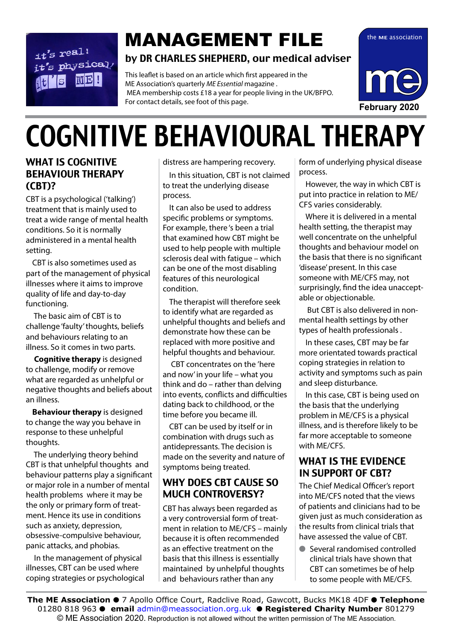### $it's$  real!  $it's$  physical/  $|\mathbf{W}|\mathbf{E}|$  !

## **MANAGEMENT FILE** the ME association

#### by DR CHARLES SHEPHERD, our medical adviser

This leaflet is based on an article which first appeared in the ME Association's quarterly *ME Essential* magazine . MEA membership costs £18 a year for people living in the UK/BFPO. For contact details, see foot of this page.



# COGNITIVE BEHAVIOURAL THERAPY

#### WHAT IS COGNITIVE BEHAVIOUR THERAPY (CBT)?

CBT is a psychological ('talking') treatment that is mainly used to treat a wide range of mental health conditions. So it is normally administered in a mental health setting.

CBT is also sometimes used as part of the management of physical illnesses where it aims to improve quality of life and day-to-day functioning.

 The basic aim of CBT is to challenge 'faulty' thoughts, beliefs and behaviours relating to an illness. So it comes in two parts.

**Cognitive therapy** is designed to challenge, modify or remove what are regarded as unhelpful or negative thoughts and beliefs about an illness.

**Behaviour therapy** is designed to change the way you behave in response to these unhelpful thoughts.

 The underlying theory behind CBT is that unhelpful thoughts and behaviour patterns play a significant or major role in a number of mental health problems where it may be the only or primary form of treatment. Hence its use in conditions such as anxiety, depression, obsessive-compulsive behaviour, panic attacks, and phobias.

 In the management of physical illnesses, CBT can be used where coping strategies or psychological distress are hampering recovery.

In this situation, CBT is not claimed to treat the underlying disease process.

It can also be used to address specific problems or symptoms. For example, there 's been a trial that examined how CBT might be used to help people with multiple sclerosis deal with fatigue – which can be one of the most disabling features of this neurological condition.

The therapist will therefore seek to identify what are regarded as unhelpful thoughts and beliefs and demonstrate how these can be replaced with more positive and helpful thoughts and behaviour.

 CBT concentrates on the 'here and now' in your life – what you think and do – rather than delving into events, conflicts and difficulties dating back to childhood, or the time before you became ill.

CBT can be used by itself or in combination with drugs such as antidepressants. The decision is made on the severity and nature of symptoms being treated.

#### WHY DOES CBT CAUSE SO MUCH CONTROVERSY?

CBT has always been regarded as a very controversial form of treatment in relation to ME/CFS – mainly because it is often recommended as an effective treatment on the basis that this illness is essentially maintained by unhelpful thoughts and behaviours rather than any

form of underlying physical disease process.

However, the way in which CBT is put into practice in relation to ME/ CFS varies considerably.

Where it is delivered in a mental health setting, the therapist may well concentrate on the unhelpful thoughts and behaviour model on the basis that there is no significant 'disease' present. In this case someone with ME/CFS may, not surprisingly, find the idea unacceptable or objectionable.

 But CBT is also delivered in nonmental health settings by other types of health professionals .

In these cases, CBT may be far more orientated towards practical coping strategies in relation to activity and symptoms such as pain and sleep disturbance.

In this case, CBT is being used on the basis that the underlying problem in ME/CFS is a physical illness, and is therefore likely to be far more acceptable to someone with ME/CFS.

#### WHAT IS THE EVIDENCE IN SUPPORT OF CBT?

The Chief Medical Officer's report into ME/CFS noted that the views of patients and clinicians had to be given just as much consideration as the results from clinical trials that have assessed the value of CBT.

■ Several randomised controlled clinical trials have shown that CBT can sometimes be of help to some people with ME/CFS.

© ME Association 2020. Reproduction is not allowed without the written permission of The ME Association.<br>— **The ME Association ● 7** Apollo Office Court, Radclive Road, Gawcott, Bucks MK18 4DF ● Telephone 01280 818 963 l **email** admin@meassociation.org.uk l **Registered Charity Number** 801279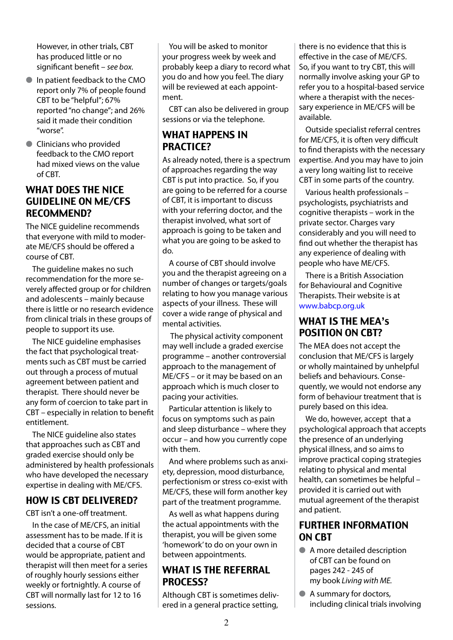However, in other trials, CBT has produced little or no significant benefit – *see box.*

- $\bullet$  In patient feedback to the CMO report only 7% of people found CBT to be "helpful"; 67% reported "no change"; and 26% said it made their condition "worse".
- **Clinicians who provided** feedback to the CMO report had mixed views on the value of CBT.

#### WHAT DOES THE NICE GUIDELINE ON ME/CFS RECOMMEND?

The NICE quideline recommends that everyone with mild to moderate ME/CFS should be offered a course of CBT.

The guideline makes no such recommendation for the more severely affected group or for children and adolescents – mainly because there is little or no research evidence from clinical trials in these groups of people to support its use.

The NICE guideline emphasises the fact that psychological treatments such as CBT must be carried out through a process of mutual agreement between patient and therapist. There should never be any form of coercion to take part in CBT – especially in relation to benefit entitlement.

The NICE guideline also states that approaches such as CBT and graded exercise should only be administered by health professionals who have developed the necessary expertise in dealing with ME/CFS.

#### HOW IS CBT DELIVERED?

CBT isn't a one-off treatment.

In the case of ME/CFS, an initial assessment has to be made. If it is decided that a course of CBT would be appropriate, patient and therapist will then meet for a series of roughly hourly sessions either weekly or fortnightly. A course of CBT will normally last for 12 to 16 sessions.

You will be asked to monitor your progress week by week and probably keep a diary to record what you do and how you feel. The diary will be reviewed at each appointment.

CBT can also be delivered in group sessions or via the telephone.

#### WHAT HAPPENS IN PRACTICE?

As already noted, there is a spectrum of approaches regarding the way CBT is put into practice. So, if you are going to be referred for a course of CBT, it is important to discuss with your referring doctor, and the therapist involved, what sort of approach is going to be taken and what you are going to be asked to do.

A course of CBT should involve you and the therapist agreeing on a number of changes or targets/goals relating to how you manage various aspects of your illness. These will cover a wide range of physical and mental activities.

 The physical activity component may well include a graded exercise programme – another controversial approach to the management of ME/CFS – or it may be based on an approach which is much closer to pacing your activities.

Particular attention is likely to focus on symptoms such as pain and sleep disturbance – where they occur – and how you currently cope with them.

And where problems such as anxiety, depression, mood disturbance, perfectionism or stress co-exist with ME/CFS, these will form another key part of the treatment programme.

As well as what happens during the actual appointments with the therapist, you will be given some 'homework' to do on your own in between appointments.

#### WHAT IS THE REFERRAL PROCESS?

Although CBT is sometimes delivered in a general practice setting,

there is no evidence that this is effective in the case of ME/CFS. So, if you want to try CBT, this will normally involve asking your GP to refer you to a hospital-based service where a therapist with the necessary experience in ME/CFS will be available.

Outside specialist referral centres for ME/CFS, it is often very difficult to find therapists with the necessary expertise. And you may have to join a very long waiting list to receive CBT in some parts of the country.

Various health professionals – psychologists, psychiatrists and cognitive therapists – work in the private sector. Charges vary considerably and you will need to find out whether the therapist has any experience of dealing with people who have ME/CFS.

There is a British Association for Behavioural and Cognitive Therapists. Their website is at www.babcp.org.uk

#### WHAT IS THE MEA's POSITION ON CBT?

The MEA does not accept the conclusion that ME/CFS is largely or wholly maintained by unhelpful beliefs and behaviours. Consequently, we would not endorse any form of behaviour treatment that is purely based on this idea.

We do, however, accept that a psychological approach that accepts the presence of an underlying physical illness, and so aims to improve practical coping strategies relating to physical and mental health, can sometimes be helpful – provided it is carried out with mutual agreement of the therapist and patient.

#### FURTHER INFORMATION ON CBT

- A more detailed description of CBT can be found on pages 242 - 245 of my book *Living with ME.*
- A summary for doctors, including clinical trials involving